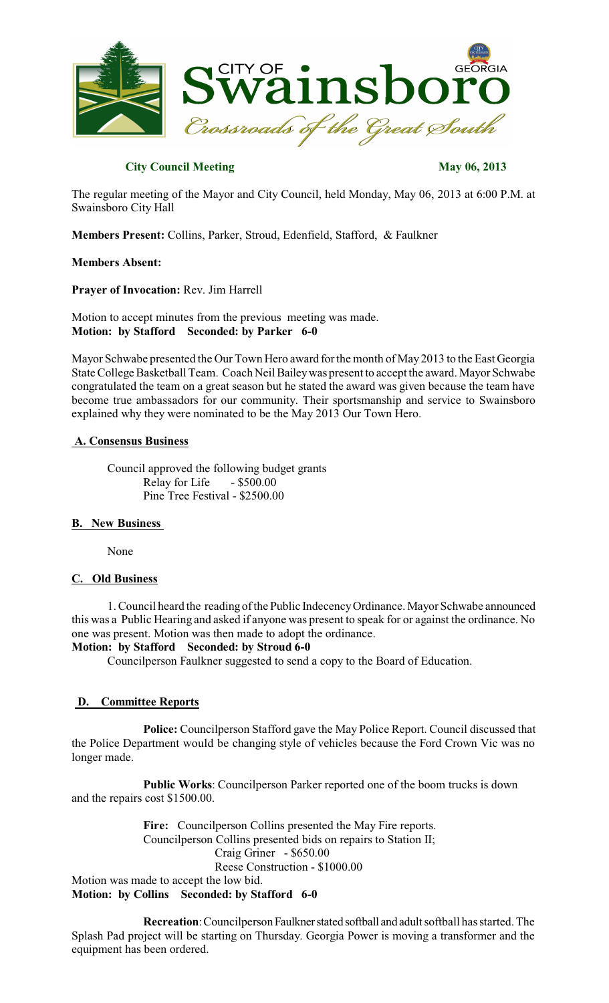

### **City Council Meeting May 06, 2013**

The regular meeting of the Mayor and City Council, held Monday, May 06, 2013 at 6:00 P.M. at Swainsboro City Hall

**Members Present:** Collins, Parker, Stroud, Edenfield, Stafford, & Faulkner

#### **Members Absent:**

**Prayer of Invocation:** Rev. Jim Harrell

Motion to accept minutes from the previous meeting was made. **Motion: by Stafford Seconded: by Parker 6-0**

Mayor Schwabe presented the Our Town Hero award for the month of May 2013 to the East Georgia State College Basketball Team. Coach Neil Bailey was present to accept the award. Mayor Schwabe congratulated the team on a great season but he stated the award was given because the team have become true ambassadors for our community. Their sportsmanship and service to Swainsboro explained why they were nominated to be the May 2013 Our Town Hero.

### **A. Consensus Business**

Council approved the following budget grants<br>Relay for Life - \$500.00 Relay for Life Pine Tree Festival - \$2500.00

### **B. New Business**

None

### **C. Old Business**

1. Council heard the reading of the Public IndecencyOrdinance. Mayor Schwabe announced this was a Public Hearing and asked if anyone was present to speak for or against the ordinance. No one was present. Motion was then made to adopt the ordinance.

#### **Motion: by Stafford Seconded: by Stroud 6-0**

Councilperson Faulkner suggested to send a copy to the Board of Education.

### **D. Committee Reports**

**Police:** Councilperson Stafford gave the May Police Report. Council discussed that the Police Department would be changing style of vehicles because the Ford Crown Vic was no longer made.

**Public Works**: Councilperson Parker reported one of the boom trucks is down and the repairs cost \$1500.00.

**Fire:** Councilperson Collins presented the May Fire reports. Councilperson Collins presented bids on repairs to Station II; Craig Griner - \$650.00 Reese Construction - \$1000.00 Motion was made to accept the low bid.

**Motion: by Collins Seconded: by Stafford 6-0**

**Recreation**: Councilperson Faulkner stated softball and adult softball has started. The Splash Pad project will be starting on Thursday. Georgia Power is moving a transformer and the equipment has been ordered.